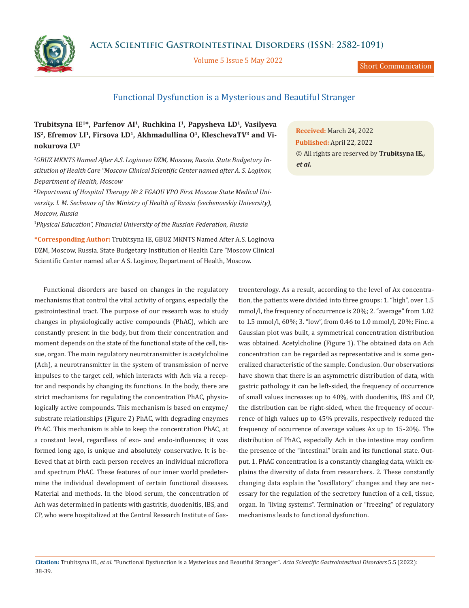**Acta Scientific Gastrointestinal Disorders (ISSN: 2582-1091)**



Volume 5 Issue 5 May 2022

Short Communication

## Functional Dysfunction is a Mysterious and Beautiful Stranger

## **Trubitsyna IE1\*, Parfenov AI1, Ruchkina I1, Papysheva LD1, Vasilyeva**  IS<sup>2</sup>, Efremov LI<sup>1</sup>, Firsova LD<sup>1</sup>, Akhmadullina O<sup>1</sup>, KleschevaTV<sup>3</sup> and Vi**nokurova LV1**

*1 GBUZ MKNTS Named After A.S. Loginova DZM, Moscow, Russia. State Budgetary Institution of Health Care "Moscow Clinical Scientific Center named after A. S. Loginov, Department of Health, Moscow*

*2 Department of Hospital Therapy № 2 FGAOU VPO First Moscow State Medical University. I. M. Sechenov of the Ministry of Health of Russia (sechenovskiy University), Moscow, Russia*

*3 Physical Education", Financial University of the Russian Federation, Russia*

**\*Corresponding Author:** Trubitsyna IE, GBUZ MKNTS Named After A.S. Loginova DZM, Moscow, Russia. State Budgetary Institution of Health Care "Moscow Clinical Scientific Center named after A S. Loginov, Department of Health, Moscow.

Functional disorders are based on changes in the regulatory mechanisms that control the vital activity of organs, especially the gastrointestinal tract. The purpose of our research was to study changes in physiologically active compounds (PhAC), which are constantly present in the body, but from their concentration and moment depends on the state of the functional state of the cell, tissue, organ. The main regulatory neurotransmitter is acetylcholine (Ach), a neurotransmitter in the system of transmission of nerve impulses to the target cell, which interacts with Ach via a receptor and responds by changing its functions. In the body, there are strict mechanisms for regulating the concentration PhAC, physiologically active compounds. This mechanism is based on enzyme/ substrate relationships (Figure 2) PhAC, with degrading enzymes PhAC. This mechanism is able to keep the concentration PhAC, at a constant level, regardless of exo- and endo-influences; it was formed long ago, is unique and absolutely conservative. It is believed that at birth each person receives an individual microflora and spectrum PhAC. These features of our inner world predetermine the individual development of certain functional diseases. Material and methods. In the blood serum, the concentration of Ach was determined in patients with gastritis, duodenitis, IBS, and CP, who were hospitalized at the Central Research Institute of Gas-

**Received:** March 24, 2022 **Published:** April 22, 2022 © All rights are reserved by **Trubitsyna IE***., et al.*

troenterology. As a result, according to the level of Ax concentration, the patients were divided into three groups: 1. "high", over 1.5 mmol/l, the frequency of occurrence is 20%; 2. "average" from 1.02 to 1.5 mmol/l, 60%; 3. "low", from 0.46 to 1.0 mmol/l, 20%; Fine. a Gaussian plot was built, a symmetrical concentration distribution was obtained. Acetylcholine (Figure 1). The obtained data on Ach concentration can be regarded as representative and is some generalized characteristic of the sample. Conclusion. Our observations have shown that there is an asymmetric distribution of data, with gastric pathology it can be left-sided, the frequency of occurrence of small values increases up to 40%, with duodenitis, IBS and CP, the distribution can be right-sided, when the frequency of occurrence of high values up to 45% prevails, respectively reduced the frequency of occurrence of average values Ax up to 15-20%. The distribution of PhAC, especially Ach in the intestine may confirm the presence of the "intestinal" brain and its functional state. Output. 1. PhAC concentration is a constantly changing data, which explains the diversity of data from researchers. 2. These constantly changing data explain the "oscillatory" changes and they are necessary for the regulation of the secretory function of a cell, tissue, organ. In "living systems". Termination or "freezing" of regulatory mechanisms leads to functional dysfunction.

**Citation:** Trubitsyna IE*., et al.* "Functional Dysfunction is a Mysterious and Beautiful Stranger". *Acta Scientific Gastrointestinal Disorders* 5.5 (2022): 38-39.